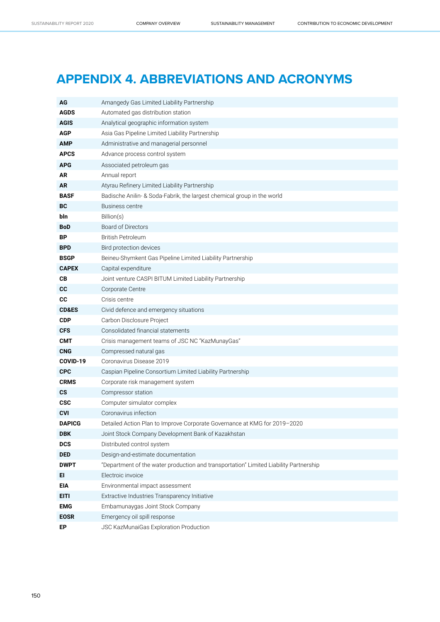## **APPENDIX 4. ABBREVIATIONS AND ACRONYMS**

| AG               | Amangedy Gas Limited Liability Partnership                                            |
|------------------|---------------------------------------------------------------------------------------|
| <b>AGDS</b>      | Automated gas distribution station                                                    |
| <b>AGIS</b>      | Analytical geographic information system                                              |
| AGP              | Asia Gas Pipeline Limited Liability Partnership                                       |
| <b>AMP</b>       | Administrative and managerial personnel                                               |
| <b>APCS</b>      | Advance process control system                                                        |
| <b>APG</b>       | Associated petroleum gas                                                              |
| AR               | Annual report                                                                         |
| AR               | Atyrau Refinery Limited Liability Partnership                                         |
| <b>BASF</b>      | Badische Anilin- & Soda-Fabrik, the largest chemical group in the world               |
| BC               | <b>Business centre</b>                                                                |
| bln              | Billion(s)                                                                            |
| BoD              | <b>Board of Directors</b>                                                             |
| ΒP               | <b>British Petroleum</b>                                                              |
| <b>BPD</b>       | Bird protection devices                                                               |
| <b>BSGP</b>      | Beineu-Shymkent Gas Pipeline Limited Liability Partnership                            |
| <b>CAPEX</b>     | Capital expenditure                                                                   |
| CВ               | Joint venture CASPI BITUM Limited Liability Partnership                               |
| CС               | Corporate Centre                                                                      |
| cc               | Crisis centre                                                                         |
| <b>CD&amp;ES</b> | Civid defence and emergency situations                                                |
| <b>CDP</b>       | Carbon Disclosure Project                                                             |
| <b>CFS</b>       | Consolidated financial statements                                                     |
| СМТ              | Crisis management teams of JSC NC "KazMunayGas"                                       |
| <b>CNG</b>       | Compressed natural gas                                                                |
| COVID-19         | Coronavirus Disease 2019                                                              |
| <b>CPC</b>       | Caspian Pipeline Consortium Limited Liability Partnership                             |
| <b>CRMS</b>      | Corporate risk management system                                                      |
| СS               | Compressor station                                                                    |
| CSC              | Computer simulator complex                                                            |
| CVI              | Coronavirus infection                                                                 |
| <b>DAPICG</b>    | Detailed Action Plan to Improve Corporate Governance at KMG for 2019-2020             |
| <b>DBK</b>       | Joint Stock Company Development Bank of Kazakhstan                                    |
| <b>DCS</b>       | Distributed control system                                                            |
| <b>DED</b>       | Design-and-estimate documentation                                                     |
| <b>DWPT</b>      | "Department of the water production and transportation" Limited Liability Partnership |
| EI               | Electroic invoice                                                                     |
| EIA              | Environmental impact assessment                                                       |
| <b>EITI</b>      | Extractive Industries Transparency Initiative                                         |
| <b>EMG</b>       | Embamunaygas Joint Stock Company                                                      |
| <b>EOSR</b>      | Emergency oil spill response                                                          |
| EP               | JSC KazMunaiGas Exploration Production                                                |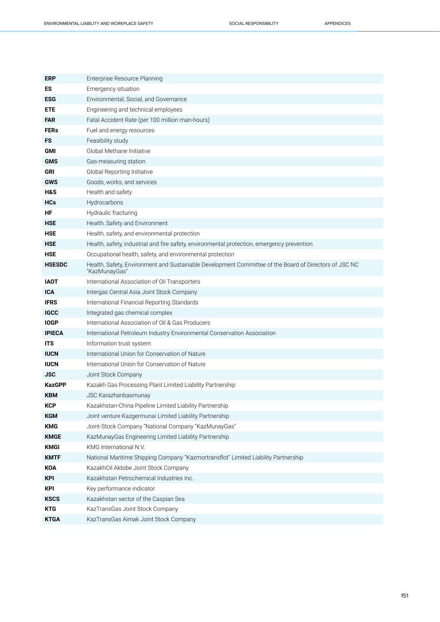| <b>ERP</b>     | <b>Enterprise Resource Planning</b>                                                                                    |
|----------------|------------------------------------------------------------------------------------------------------------------------|
| ES             | <b>Emergency situation</b>                                                                                             |
| <b>ESG</b>     | Environmental, Social, and Governance                                                                                  |
| <b>ETE</b>     | Engineering and technical employees                                                                                    |
| <b>FAR</b>     | Fatal Accident Rate (per 100 million man-hours)                                                                        |
| <b>FERs</b>    | Fuel and energy resources                                                                                              |
| FS             | Feasibility study                                                                                                      |
| <b>GMI</b>     | Global Methane Initiative                                                                                              |
| <b>GMS</b>     | Gas-measuring station                                                                                                  |
| <b>GRI</b>     | Global Reporting Initiative                                                                                            |
| <b>GWS</b>     | Goods, works, and services                                                                                             |
| <b>H&amp;S</b> | Health and safety                                                                                                      |
| HCs            | Hydrocarbons                                                                                                           |
| HF             | Hydraulic fracturing                                                                                                   |
| <b>HSE</b>     | Health, Safety and Environment                                                                                         |
| <b>HSE</b>     | Health, safety, and environmental protection                                                                           |
| <b>HSE</b>     | Health, safety, industrial and fire safety, environmental protection, emergency prevention                             |
| <b>HSE</b>     | Occupational health, safety, and environmental protection                                                              |
| <b>HSESDC</b>  | Health, Safety, Environment and Sustainable Development Committee of the Board of Directors of JSC NC<br>"KazMunayGas" |
| <b>IAOT</b>    | International Association of Oil Transporters                                                                          |
| <b>ICA</b>     | Intergas Central Asia Joint Stock Company                                                                              |
| <b>IFRS</b>    | International Financial Reporting Standards                                                                            |
| <b>IGCC</b>    | Integrated gas chemical complex                                                                                        |
| <b>IOGP</b>    | International Association of Oil & Gas Producers                                                                       |
| <b>IPIECA</b>  | International Petroleum Industry Environmental Conservation Association                                                |
| <b>ITS</b>     | Information trust system                                                                                               |
| <b>IUCN</b>    | International Union for Conservation of Nature                                                                         |
| <b>IUCN</b>    | International Union for Conservation of Nature                                                                         |
| <b>JSC</b>     | Joint Stock Company                                                                                                    |
| <b>KazGPP</b>  | Kazakh Gas Processing Plant Limited Liability Partnership                                                              |
| <b>KBM</b>     | <b>JSC Karazhanbasmunay</b>                                                                                            |
| <b>KCP</b>     | Kazakhstan-China Pipeline Limited Liability Partnership                                                                |
| <b>KGM</b>     | Joint venture Kazgermunai Limited Liability Partnership                                                                |
| <b>KMG</b>     | Joint-Stock Company "National Company "KazMunayGas"                                                                    |
| <b>KMGE</b>    | KazMunayGas Engineering Limited Liability Partnership                                                                  |
| <b>KMGI</b>    | KMG International N.V.                                                                                                 |
| <b>KMTF</b>    | National Maritime Shipping Company "Kazmortransflot" Limited Liability Partnership                                     |
| <b>KOA</b>     | KazakhOil Aktobe Joint Stock Company                                                                                   |
| <b>KPI</b>     | Kazakhstan Petrochemical Industries Inc.                                                                               |
| <b>KPI</b>     | Key performance indicator                                                                                              |
| <b>KSCS</b>    | Kazakhstan sector of the Caspian Sea                                                                                   |
| <b>KTG</b>     | KazTransGas Joint Stock Company                                                                                        |
| <b>KTGA</b>    | KazTransGas Aimak Joint Stock Company                                                                                  |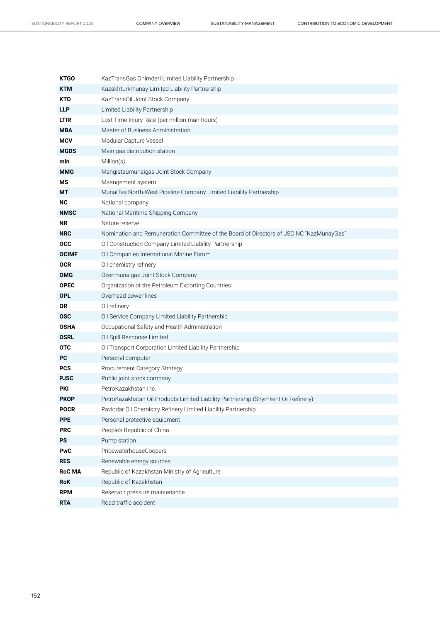| KTGO          | KazTransGas Onimderi Limited Liability Partnership                                      |
|---------------|-----------------------------------------------------------------------------------------|
| KTM           | Kazakhturkmunay Limited Liability Partnership                                           |
| кто           | KazTransOil Joint Stock Company                                                         |
| LLP           | Limited Liability Partnership                                                           |
| LTIR          | Lost Time Injury Rate (per million man-hours)                                           |
| MBA           | Master of Business Administration                                                       |
| MCV           | Modular Capture Vessel                                                                  |
| <b>MGDS</b>   | Main gas distribution station                                                           |
| min           | Million(s)                                                                              |
| MMG           | Mangistaumunaigas Joint Stock Company                                                   |
| MS            | Maangement system                                                                       |
| мт            | MunaiTas North-West Pipeline Company Limited Liability Partnership                      |
| NC            | National company                                                                        |
| NMSC          | National Maritime Shipping Company                                                      |
| ΝR            | Nature reserve                                                                          |
| NRC           | Nomination and Remuneration Committee of the Board of Directors of JSC NC "KazMunayGas" |
| осс           | Oil Construction Company Limited Liability Partnership                                  |
| <b>OCIMF</b>  | Oil Companies International Marine Forum                                                |
| OCR           | Oil chemistry refinery                                                                  |
| OMG           | Ozenmunaigaz Joint Stock Company                                                        |
| <b>OPEC</b>   | Organization of the Petroleum Exporting Countries                                       |
| OPL           | Overhead power lines                                                                    |
| ΟR            | Oil refinery                                                                            |
| osc           | Oil Service Company Limited Liability Partnership                                       |
| <b>OSHA</b>   | Occupational Safety and Health Administration                                           |
| OSRL          | Oil Spill Response Limited                                                              |
| отс           | Oil Transport Corporation Limited Liability Partnership                                 |
| PС            | Personal computer                                                                       |
| PCS           | Procurement Category Strategy                                                           |
| PJSC          | Public joint stock company                                                              |
| PKI           | PetroKazakhstan Inc.                                                                    |
| <b>PKOP</b>   | PetroKazakhstan Oil Products Limited Liability Partnership (Shymkent Oil Refinery)      |
| POCR          | Pavlodar Oil Chemistry Refinery Limited Liability Partnership                           |
| PPE           | Personal protective equipment                                                           |
| <b>PRC</b>    | People's Republic of China                                                              |
| PS            | Pump station                                                                            |
| PwC           | PricewaterhouseCoopers                                                                  |
| <b>RES</b>    | Renewable energy sources                                                                |
| <b>RoC MA</b> | Republic of Kazakhstan Ministry of Agriculture                                          |
| RoK           | Republic of Kazakhstan                                                                  |
| RPM           | Reservoir pressure maintenance                                                          |
| <b>RTA</b>    | Road traffic accident                                                                   |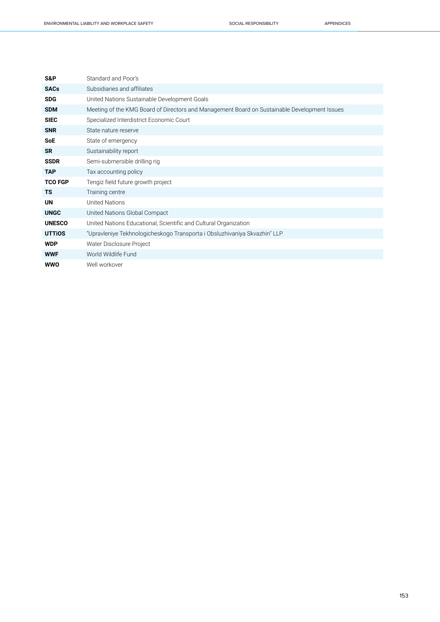| S&P            | Standard and Poor's                                                                          |
|----------------|----------------------------------------------------------------------------------------------|
| <b>SACs</b>    | Subsidiaries and affiliates                                                                  |
| <b>SDG</b>     | United Nations Sustainable Development Goals                                                 |
| <b>SDM</b>     | Meeting of the KMG Board of Directors and Management Board on Sustainable Development Issues |
| <b>SIEC</b>    | Specialized Interdistrict Economic Court                                                     |
| <b>SNR</b>     | State nature reserve                                                                         |
| SoE            | State of emergency                                                                           |
| <b>SR</b>      | Sustainability report                                                                        |
| <b>SSDR</b>    | Semi-submersible drilling rig                                                                |
| <b>TAP</b>     | Tax accounting policy                                                                        |
| <b>TCO FGP</b> | Tengiz field future growth project                                                           |
| ΤS             | Training centre                                                                              |
| UN             | <b>United Nations</b>                                                                        |
| <b>UNGC</b>    | United Nations Global Compact                                                                |
| <b>UNESCO</b>  | United Nations Educational, Scientific and Cultural Organization                             |
| <b>UTTIOS</b>  | "Upravleniye Tekhnologicheskogo Transporta i Obsluzhivaniya Skvazhin" LLP                    |
| <b>WDP</b>     | Water Disclosure Project                                                                     |
| <b>WWF</b>     | World Wildlife Fund                                                                          |
| wwo            | Well workover                                                                                |